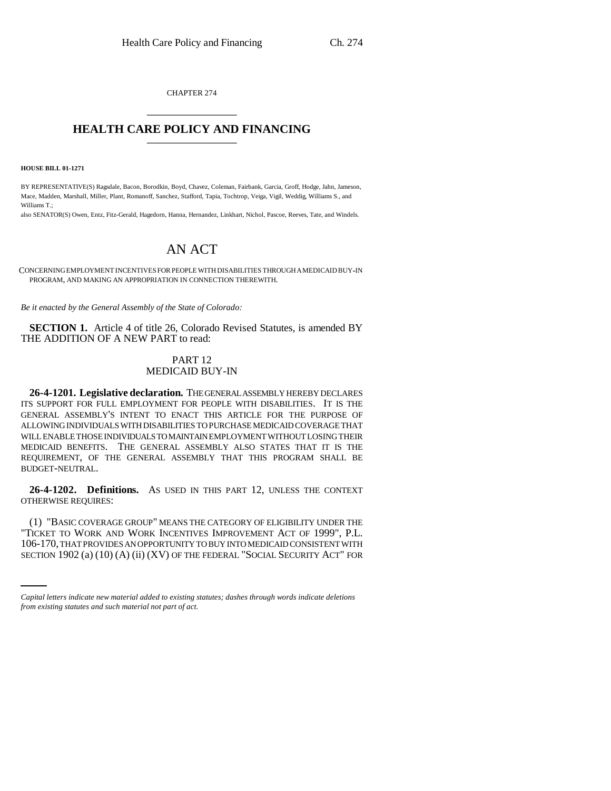CHAPTER 274 \_\_\_\_\_\_\_\_\_\_\_\_\_\_\_

# **HEALTH CARE POLICY AND FINANCING** \_\_\_\_\_\_\_\_\_\_\_\_\_\_\_

**HOUSE BILL 01-1271**

BY REPRESENTATIVE(S) Ragsdale, Bacon, Borodkin, Boyd, Chavez, Coleman, Fairbank, Garcia, Groff, Hodge, Jahn, Jameson, Mace, Madden, Marshall, Miller, Plant, Romanoff, Sanchez, Stafford, Tapia, Tochtrop, Veiga, Vigil, Weddig, Williams S., and Williams T.;

also SENATOR(S) Owen, Entz, Fitz-Gerald, Hagedorn, Hanna, Hernandez, Linkhart, Nichol, Pascoe, Reeves, Tate, and Windels.

# AN ACT

CONCERNING EMPLOYMENT INCENTIVES FOR PEOPLE WITH DISABILITIES THROUGH A MEDICAID BUY-IN PROGRAM, AND MAKING AN APPROPRIATION IN CONNECTION THEREWITH.

*Be it enacted by the General Assembly of the State of Colorado:*

**SECTION 1.** Article 4 of title 26, Colorado Revised Statutes, is amended BY THE ADDITION OF A NEW PART to read:

## PART 12 MEDICAID BUY-IN

**26-4-1201. Legislative declaration.** THE GENERAL ASSEMBLY HEREBY DECLARES ITS SUPPORT FOR FULL EMPLOYMENT FOR PEOPLE WITH DISABILITIES. IT IS THE GENERAL ASSEMBLY'S INTENT TO ENACT THIS ARTICLE FOR THE PURPOSE OF ALLOWING INDIVIDUALS WITH DISABILITIES TO PURCHASE MEDICAID COVERAGE THAT WILL ENABLE THOSE INDIVIDUALS TO MAINTAIN EMPLOYMENT WITHOUT LOSING THEIR MEDICAID BENEFITS. THE GENERAL ASSEMBLY ALSO STATES THAT IT IS THE REQUIREMENT, OF THE GENERAL ASSEMBLY THAT THIS PROGRAM SHALL BE BUDGET-NEUTRAL.

**26-4-1202. Definitions.** AS USED IN THIS PART 12, UNLESS THE CONTEXT OTHERWISE REQUIRES:

"TICKET TO WORK AND WORK INCENTIVES IMPROVEMENT ACT OF 1999", P.L. (1) "BASIC COVERAGE GROUP" MEANS THE CATEGORY OF ELIGIBILITY UNDER THE 106-170, THAT PROVIDES AN OPPORTUNITY TO BUY INTO MEDICAID CONSISTENT WITH SECTION 1902 (a) (10) (A) (ii) (XV) OF THE FEDERAL "SOCIAL SECURITY ACT" FOR

*Capital letters indicate new material added to existing statutes; dashes through words indicate deletions from existing statutes and such material not part of act.*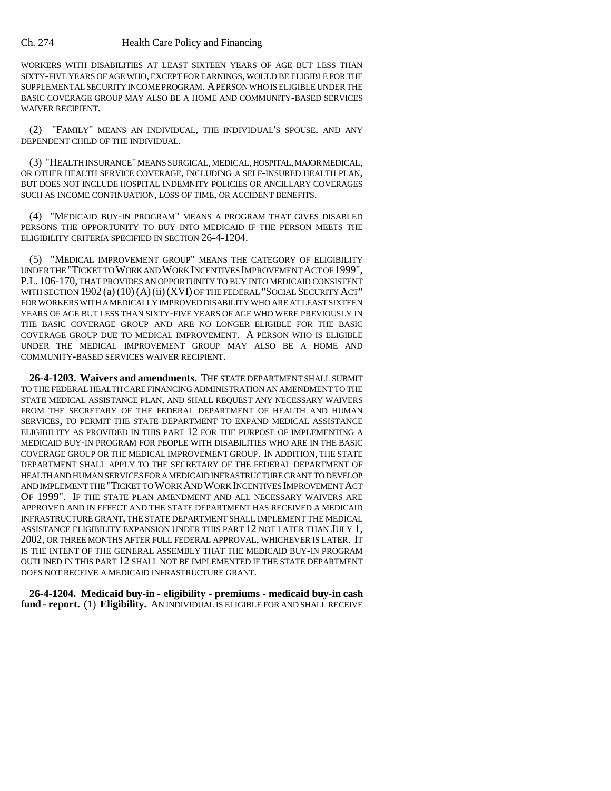### Ch. 274 Health Care Policy and Financing

WORKERS WITH DISABILITIES AT LEAST SIXTEEN YEARS OF AGE BUT LESS THAN SIXTY-FIVE YEARS OF AGE WHO, EXCEPT FOR EARNINGS, WOULD BE ELIGIBLE FOR THE SUPPLEMENTAL SECURITY INCOME PROGRAM. A PERSON WHO IS ELIGIBLE UNDER THE BASIC COVERAGE GROUP MAY ALSO BE A HOME AND COMMUNITY-BASED SERVICES WAIVER RECIPIENT.

(2) "FAMILY" MEANS AN INDIVIDUAL, THE INDIVIDUAL'S SPOUSE, AND ANY DEPENDENT CHILD OF THE INDIVIDUAL.

(3) "HEALTH INSURANCE" MEANS SURGICAL, MEDICAL, HOSPITAL, MAJOR MEDICAL, OR OTHER HEALTH SERVICE COVERAGE, INCLUDING A SELF-INSURED HEALTH PLAN, BUT DOES NOT INCLUDE HOSPITAL INDEMNITY POLICIES OR ANCILLARY COVERAGES SUCH AS INCOME CONTINUATION, LOSS OF TIME, OR ACCIDENT BENEFITS.

(4) "MEDICAID BUY-IN PROGRAM" MEANS A PROGRAM THAT GIVES DISABLED PERSONS THE OPPORTUNITY TO BUY INTO MEDICAID IF THE PERSON MEETS THE ELIGIBILITY CRITERIA SPECIFIED IN SECTION 26-4-1204.

(5) "MEDICAL IMPROVEMENT GROUP" MEANS THE CATEGORY OF ELIGIBILITY UNDER THE "TICKET TO WORK AND WORK INCENTIVES IMPROVEMENT ACT OF 1999", P.L. 106-170, THAT PROVIDES AN OPPORTUNITY TO BUY INTO MEDICAID CONSISTENT WITH SECTION 1902 (a) (10) (A)(ii)(XVI) OF THE FEDERAL "SOCIAL SECURITY ACT" FOR WORKERS WITH A MEDICALLY IMPROVED DISABILITY WHO ARE AT LEAST SIXTEEN YEARS OF AGE BUT LESS THAN SIXTY-FIVE YEARS OF AGE WHO WERE PREVIOUSLY IN THE BASIC COVERAGE GROUP AND ARE NO LONGER ELIGIBLE FOR THE BASIC COVERAGE GROUP DUE TO MEDICAL IMPROVEMENT. A PERSON WHO IS ELIGIBLE UNDER THE MEDICAL IMPROVEMENT GROUP MAY ALSO BE A HOME AND COMMUNITY-BASED SERVICES WAIVER RECIPIENT.

**26-4-1203. Waivers and amendments.** THE STATE DEPARTMENT SHALL SUBMIT TO THE FEDERAL HEALTH CARE FINANCING ADMINISTRATION AN AMENDMENT TO THE STATE MEDICAL ASSISTANCE PLAN, AND SHALL REQUEST ANY NECESSARY WAIVERS FROM THE SECRETARY OF THE FEDERAL DEPARTMENT OF HEALTH AND HUMAN SERVICES, TO PERMIT THE STATE DEPARTMENT TO EXPAND MEDICAL ASSISTANCE ELIGIBILITY AS PROVIDED IN THIS PART 12 FOR THE PURPOSE OF IMPLEMENTING A MEDICAID BUY-IN PROGRAM FOR PEOPLE WITH DISABILITIES WHO ARE IN THE BASIC COVERAGE GROUP OR THE MEDICAL IMPROVEMENT GROUP. IN ADDITION, THE STATE DEPARTMENT SHALL APPLY TO THE SECRETARY OF THE FEDERAL DEPARTMENT OF HEALTH AND HUMAN SERVICES FOR A MEDICAID INFRASTRUCTURE GRANT TO DEVELOP AND IMPLEMENT THE "TICKET TO WORK AND WORK INCENTIVES IMPROVEMENT ACT OF 1999". IF THE STATE PLAN AMENDMENT AND ALL NECESSARY WAIVERS ARE APPROVED AND IN EFFECT AND THE STATE DEPARTMENT HAS RECEIVED A MEDICAID INFRASTRUCTURE GRANT, THE STATE DEPARTMENT SHALL IMPLEMENT THE MEDICAL ASSISTANCE ELIGIBILITY EXPANSION UNDER THIS PART 12 NOT LATER THAN JULY 1, 2002, OR THREE MONTHS AFTER FULL FEDERAL APPROVAL, WHICHEVER IS LATER. IT IS THE INTENT OF THE GENERAL ASSEMBLY THAT THE MEDICAID BUY-IN PROGRAM OUTLINED IN THIS PART 12 SHALL NOT BE IMPLEMENTED IF THE STATE DEPARTMENT DOES NOT RECEIVE A MEDICAID INFRASTRUCTURE GRANT.

**26-4-1204. Medicaid buy-in - eligibility - premiums - medicaid buy-in cash fund - report.** (1) **Eligibility.** AN INDIVIDUAL IS ELIGIBLE FOR AND SHALL RECEIVE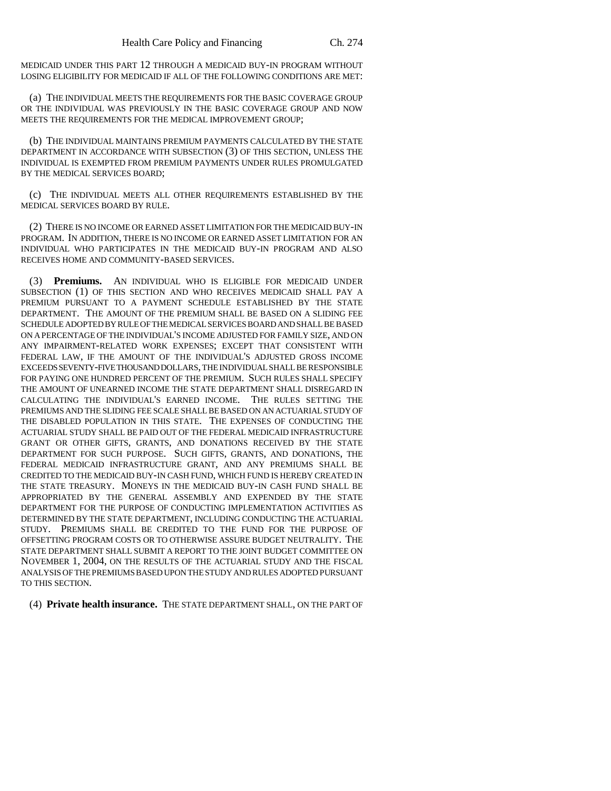MEDICAID UNDER THIS PART 12 THROUGH A MEDICAID BUY-IN PROGRAM WITHOUT LOSING ELIGIBILITY FOR MEDICAID IF ALL OF THE FOLLOWING CONDITIONS ARE MET:

(a) THE INDIVIDUAL MEETS THE REQUIREMENTS FOR THE BASIC COVERAGE GROUP OR THE INDIVIDUAL WAS PREVIOUSLY IN THE BASIC COVERAGE GROUP AND NOW MEETS THE REQUIREMENTS FOR THE MEDICAL IMPROVEMENT GROUP;

(b) THE INDIVIDUAL MAINTAINS PREMIUM PAYMENTS CALCULATED BY THE STATE DEPARTMENT IN ACCORDANCE WITH SUBSECTION (3) OF THIS SECTION, UNLESS THE INDIVIDUAL IS EXEMPTED FROM PREMIUM PAYMENTS UNDER RULES PROMULGATED BY THE MEDICAL SERVICES BOARD;

(c) THE INDIVIDUAL MEETS ALL OTHER REQUIREMENTS ESTABLISHED BY THE MEDICAL SERVICES BOARD BY RULE.

(2) THERE IS NO INCOME OR EARNED ASSET LIMITATION FOR THE MEDICAID BUY-IN PROGRAM. IN ADDITION, THERE IS NO INCOME OR EARNED ASSET LIMITATION FOR AN INDIVIDUAL WHO PARTICIPATES IN THE MEDICAID BUY-IN PROGRAM AND ALSO RECEIVES HOME AND COMMUNITY-BASED SERVICES.

(3) **Premiums.** AN INDIVIDUAL WHO IS ELIGIBLE FOR MEDICAID UNDER SUBSECTION (1) OF THIS SECTION AND WHO RECEIVES MEDICAID SHALL PAY A PREMIUM PURSUANT TO A PAYMENT SCHEDULE ESTABLISHED BY THE STATE DEPARTMENT. THE AMOUNT OF THE PREMIUM SHALL BE BASED ON A SLIDING FEE SCHEDULE ADOPTED BY RULE OF THE MEDICAL SERVICES BOARD AND SHALL BE BASED ON A PERCENTAGE OF THE INDIVIDUAL'S INCOME ADJUSTED FOR FAMILY SIZE, AND ON ANY IMPAIRMENT-RELATED WORK EXPENSES; EXCEPT THAT CONSISTENT WITH FEDERAL LAW, IF THE AMOUNT OF THE INDIVIDUAL'S ADJUSTED GROSS INCOME EXCEEDS SEVENTY-FIVE THOUSAND DOLLARS, THE INDIVIDUAL SHALL BE RESPONSIBLE FOR PAYING ONE HUNDRED PERCENT OF THE PREMIUM. SUCH RULES SHALL SPECIFY THE AMOUNT OF UNEARNED INCOME THE STATE DEPARTMENT SHALL DISREGARD IN CALCULATING THE INDIVIDUAL'S EARNED INCOME. THE RULES SETTING THE PREMIUMS AND THE SLIDING FEE SCALE SHALL BE BASED ON AN ACTUARIAL STUDY OF THE DISABLED POPULATION IN THIS STATE. THE EXPENSES OF CONDUCTING THE ACTUARIAL STUDY SHALL BE PAID OUT OF THE FEDERAL MEDICAID INFRASTRUCTURE GRANT OR OTHER GIFTS, GRANTS, AND DONATIONS RECEIVED BY THE STATE DEPARTMENT FOR SUCH PURPOSE. SUCH GIFTS, GRANTS, AND DONATIONS, THE FEDERAL MEDICAID INFRASTRUCTURE GRANT, AND ANY PREMIUMS SHALL BE CREDITED TO THE MEDICAID BUY-IN CASH FUND, WHICH FUND IS HEREBY CREATED IN THE STATE TREASURY. MONEYS IN THE MEDICAID BUY-IN CASH FUND SHALL BE APPROPRIATED BY THE GENERAL ASSEMBLY AND EXPENDED BY THE STATE DEPARTMENT FOR THE PURPOSE OF CONDUCTING IMPLEMENTATION ACTIVITIES AS DETERMINED BY THE STATE DEPARTMENT, INCLUDING CONDUCTING THE ACTUARIAL STUDY. PREMIUMS SHALL BE CREDITED TO THE FUND FOR THE PURPOSE OF OFFSETTING PROGRAM COSTS OR TO OTHERWISE ASSURE BUDGET NEUTRALITY. THE STATE DEPARTMENT SHALL SUBMIT A REPORT TO THE JOINT BUDGET COMMITTEE ON NOVEMBER 1, 2004, ON THE RESULTS OF THE ACTUARIAL STUDY AND THE FISCAL ANALYSIS OF THE PREMIUMS BASED UPON THE STUDY AND RULES ADOPTED PURSUANT TO THIS SECTION.

(4) **Private health insurance.** THE STATE DEPARTMENT SHALL, ON THE PART OF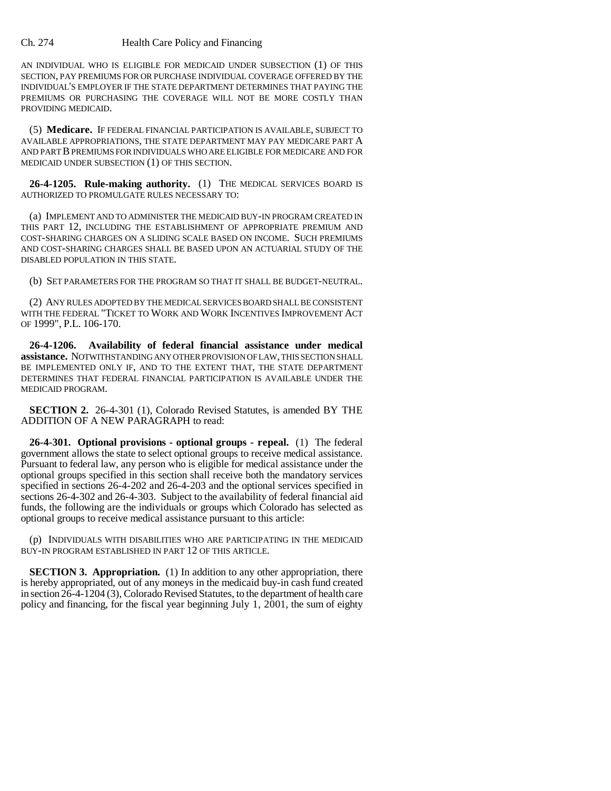### Ch. 274 Health Care Policy and Financing

AN INDIVIDUAL WHO IS ELIGIBLE FOR MEDICAID UNDER SUBSECTION (1) OF THIS SECTION, PAY PREMIUMS FOR OR PURCHASE INDIVIDUAL COVERAGE OFFERED BY THE INDIVIDUAL'S EMPLOYER IF THE STATE DEPARTMENT DETERMINES THAT PAYING THE PREMIUMS OR PURCHASING THE COVERAGE WILL NOT BE MORE COSTLY THAN PROVIDING MEDICAID.

(5) **Medicare.** IF FEDERAL FINANCIAL PARTICIPATION IS AVAILABLE, SUBJECT TO AVAILABLE APPROPRIATIONS, THE STATE DEPARTMENT MAY PAY MEDICARE PART A AND PART B PREMIUMS FOR INDIVIDUALS WHO ARE ELIGIBLE FOR MEDICARE AND FOR MEDICAID UNDER SUBSECTION (1) OF THIS SECTION.

**26-4-1205. Rule-making authority.** (1) THE MEDICAL SERVICES BOARD IS AUTHORIZED TO PROMULGATE RULES NECESSARY TO:

(a) IMPLEMENT AND TO ADMINISTER THE MEDICAID BUY-IN PROGRAM CREATED IN THIS PART 12, INCLUDING THE ESTABLISHMENT OF APPROPRIATE PREMIUM AND COST-SHARING CHARGES ON A SLIDING SCALE BASED ON INCOME. SUCH PREMIUMS AND COST-SHARING CHARGES SHALL BE BASED UPON AN ACTUARIAL STUDY OF THE DISABLED POPULATION IN THIS STATE.

(b) SET PARAMETERS FOR THE PROGRAM SO THAT IT SHALL BE BUDGET-NEUTRAL.

(2) ANY RULES ADOPTED BY THE MEDICAL SERVICES BOARD SHALL BE CONSISTENT WITH THE FEDERAL "TICKET TO WORK AND WORK INCENTIVES IMPROVEMENT ACT OF 1999", P.L. 106-170.

**26-4-1206. Availability of federal financial assistance under medical assistance.** NOTWITHSTANDING ANY OTHER PROVISION OF LAW, THIS SECTION SHALL BE IMPLEMENTED ONLY IF, AND TO THE EXTENT THAT, THE STATE DEPARTMENT DETERMINES THAT FEDERAL FINANCIAL PARTICIPATION IS AVAILABLE UNDER THE MEDICAID PROGRAM.

**SECTION 2.** 26-4-301 (1), Colorado Revised Statutes, is amended BY THE ADDITION OF A NEW PARAGRAPH to read:

**26-4-301. Optional provisions - optional groups - repeal.** (1) The federal government allows the state to select optional groups to receive medical assistance. Pursuant to federal law, any person who is eligible for medical assistance under the optional groups specified in this section shall receive both the mandatory services specified in sections 26-4-202 and 26-4-203 and the optional services specified in sections 26-4-302 and 26-4-303. Subject to the availability of federal financial aid funds, the following are the individuals or groups which Colorado has selected as optional groups to receive medical assistance pursuant to this article:

(p) INDIVIDUALS WITH DISABILITIES WHO ARE PARTICIPATING IN THE MEDICAID BUY-IN PROGRAM ESTABLISHED IN PART 12 OF THIS ARTICLE.

**SECTION 3. Appropriation.** (1) In addition to any other appropriation, there is hereby appropriated, out of any moneys in the medicaid buy-in cash fund created in section 26-4-1204 (3), Colorado Revised Statutes, to the department of health care policy and financing, for the fiscal year beginning July 1, 2001, the sum of eighty